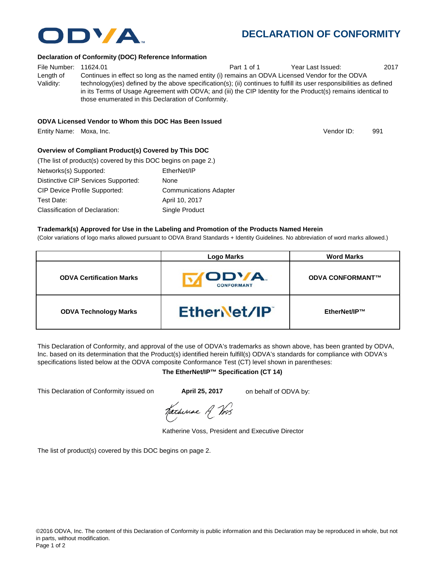# **DECLARATION OF CONFORMITY**

### **Declaration of Conformity (DOC) Reference Information**

File Number: 11624.01 **Part 1 of 1** Year Last Issued: 2017 Length of Validity: Continues in effect so long as the named entity (i) remains an ODVA Licensed Vendor for the ODVA technology(ies) defined by the above specification(s); (ii) continues to fulfill its user responsibilities as defined in its Terms of Usage Agreement with ODVA; and (iii) the CIP Identity for the Product(s) remains identical to those enumerated in this Declaration of Conformity.

### **ODVA Licensed Vendor to Whom this DOC Has Been Issued**

Entity Name: Moxa, Inc. 991

## **Overview of Compliant Product(s) Covered by This DOC**

| (The list of product(s) covered by this DOC begins on page 2.) |                               |
|----------------------------------------------------------------|-------------------------------|
| Networks(s) Supported:                                         | EtherNet/IP                   |
| Distinctive CIP Services Supported:                            | None                          |
| <b>CIP Device Profile Supported:</b>                           | <b>Communications Adapter</b> |
| Test Date:                                                     | April 10, 2017                |
| Classification of Declaration:                                 | Single Product                |

### **Trademark(s) Approved for Use in the Labeling and Promotion of the Products Named Herein**

(Color variations of logo marks allowed pursuant to ODVA Brand Standards + Identity Guidelines. No abbreviation of word marks allowed.)

|                                 | <b>Logo Marks</b>          | <b>Word Marks</b>       |
|---------------------------------|----------------------------|-------------------------|
| <b>ODVA Certification Marks</b> | ODVA.<br><b>CONFORMANT</b> | <b>ODVA CONFORMANT™</b> |
| <b>ODVA Technology Marks</b>    | EtherNet/IP                | EtherNet/IP™            |

This Declaration of Conformity, and approval of the use of ODVA's trademarks as shown above, has been granted by ODVA, Inc. based on its determination that the Product(s) identified herein fulfill(s) ODVA's standards for compliance with ODVA's specifications listed below at the ODVA composite Conformance Test (CT) level shown in parentheses:

## **The EtherNet/IP™ Specification (CT 14)**

This Declaration of Conformity issued on **April 25, 2017** on behalf of ODVA by:

Katherine A Vos

Katherine Voss, President and Executive Director

The list of product(s) covered by this DOC begins on page 2.



Vendor ID: